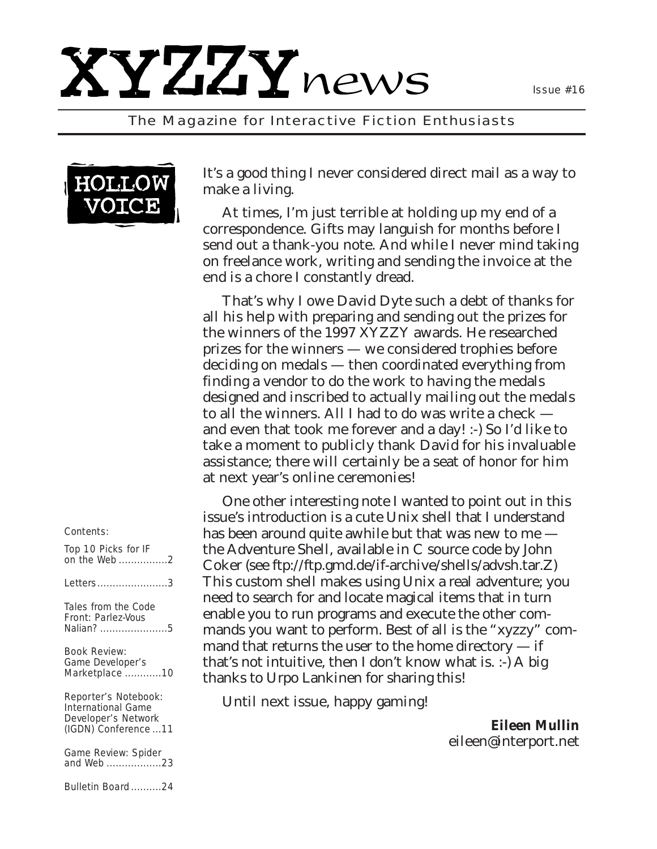# XYZZYnews

*The Magazine for Interactive Fiction Enthusiasts*



It's a good thing I never considered direct mail as a way to make a living.

At times, I'm just terrible at holding up my end of a correspondence. Gifts may languish for months before I send out a thank-you note. And while I never mind taking on freelance work, writing and sending the invoice at the end is a chore I constantly dread.

That's why I owe David Dyte such a debt of thanks for all his help with preparing and sending out the prizes for the winners of the 1997 XYZZY awards. He researched prizes for the winners — we considered trophies before deciding on medals — then coordinated everything from finding a vendor to do the work to having the medals designed and inscribed to actually mailing out the medals to all the winners. All I had to do was write a check and even that took me forever and a day! :-) So I'd like to take a moment to publicly thank David for his invaluable assistance; there will certainly be a seat of honor for him at next year's online ceremonies!

One other interesting note I wanted to point out in this issue's introduction is a cute Unix shell that I understand has been around quite awhile but that was new to me  $$ the Adventure Shell, available in C source code by John Coker (see ftp://ftp.gmd.de/if-archive/shells/advsh.tar.Z) This custom shell makes using Unix a real adventure; you need to search for and locate magical items that in turn enable you to run programs and execute the other commands you want to perform. Best of all is the "xyzzy" command that returns the user to the home directory  $-$  if that's not intuitive, then I don't know what is. :-) A big thanks to Urpo Lankinen for sharing this!

Until next issue, happy gaming!

*Eileen Mullin eileen@interport.net*

### *Contents:*

*Top 10 Picks for IF on the Web ................2*

*Letters.......................3*

*Tales from the Code Front: Parlez-Vous Nalian? ......................5*

*Book Review: Game Developer's Marketplace ............10*

*Reporter's Notebook: International Game Developer's Network (IGDN) Conference ...11*

*Game Review: Spider and Web ..................23*

*Bulletin Board ..........24*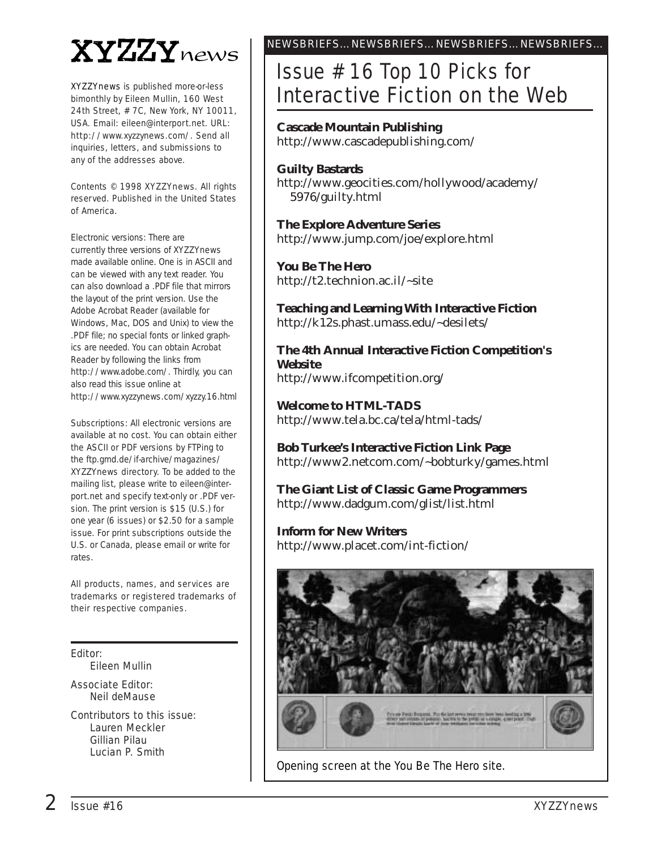# **XYZZY** news

*XYZZYnews* is published more-or-less bimonthly by Eileen Mullin, 160 West 24th Street, # 7C, New York, NY 10011, USA. Email: eileen@interport.net. URL: http://www.xyzzynews.com/. Send all inquiries, letters, and submissions to any of the addresses above.

Contents © 1998 *XYZZYnews*. All rights reserved. Published in the United States of America.

Electronic versions: There are currently three versions of *XYZZYnews* made available online. One is in ASCII and can be viewed with any text reader. You can also download a .PDF file that mirrors the layout of the print version. Use the Adobe Acrobat Reader (available for Windows, Mac, DOS and Unix) to view the .PDF file; no special fonts or linked graphics are needed. You can obtain Acrobat Reader by following the links from http://www.adobe.com/. Thirdly, you can also read this issue online at http://www.xyzzynews.com/xyzzy.16.html

Subscriptions: All electronic versions are available at no cost. You can obtain either the ASCII or PDF versions by FTPing to the ftp.gmd.de/if-archive/magazines/ XYZZYnews directory. To be added to the mailing list, please write to eileen@interport.net and specify text-only or .PDF version. The print version is \$15 (U.S.) for one year (6 issues) or \$2.50 for a sample issue. For print subscriptions outside the U.S. or Canada, please email or write for rates.

All products, names, and ser vices are trademarks or registered trademarks of their respective companies.

Editor:

Eileen Mullin

Associate Editor: Neil deMause

Contributors to this issue: Lauren Meckler Gillian Pilau Lucian P. Smith

## NEWSBRIEFS…NEWSBRIEFS…NEWSBRIEFS…NEWSBRIEFS…

# Issue # 16 Top 10 Picks for Interactive Fiction on the Web

### **Cascade Mountain Publishing**

http://www.cascadepublishing.com/

### **Guilty Bastards**

http://www.geocities.com/hollywood/academy/ 5976/guilty.html

**The Explore Adventure Series** http://www.jump.com/joe/explore.html

**You Be The Hero**

http://t2.technion.ac.il/~site

**Teaching and Learning With Interactive Fiction** http://k12s.phast.umass.edu/~desilets/

**The 4th Annual Interactive Fiction Competition's Website** http://www.ifcompetition.org/

**Welcome to HTML-TADS** http://www.tela.bc.ca/tela/html-tads/

**Bob Turkee's Interactive Fiction Link Page** http://www2.netcom.com/~bobturky/games.html

**The Giant List of Classic Game Programmers** http://www.dadgum.com/glist/list.html

**Inform for New Writers** http://www.placet.com/int-fiction/



Opening screen at the You Be The Hero site.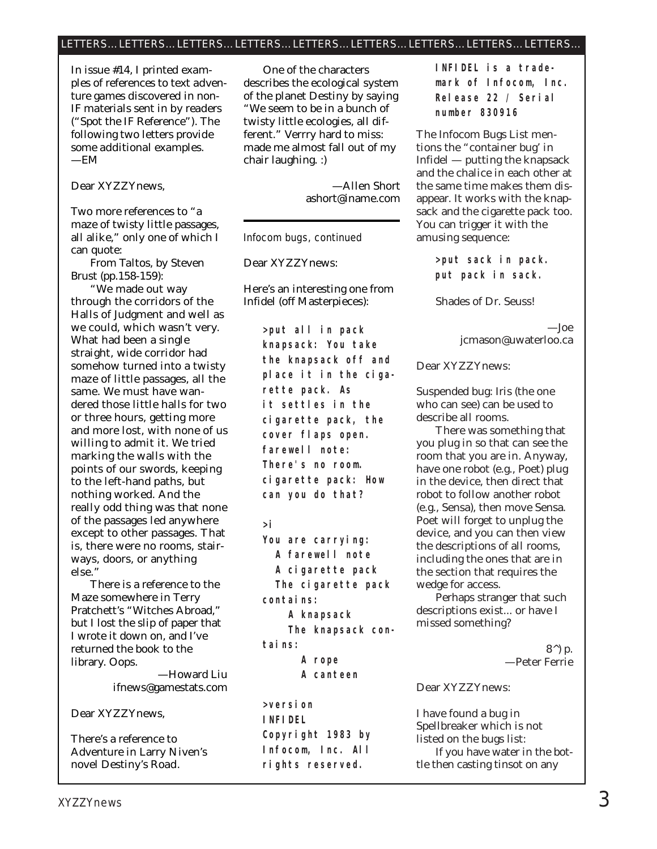### LETTERS…LETTERS…LETTERS…LETTERS…LETTERS…LETTERS…LETTERS…LETTERS…LETTERS…

*In issue #14, I printed examples of references to text adventure games discovered in non-IF materials sent in by readers ("Spot the IF Reference"). The following two letters provide some additional examples. —EM*

Dear XYZZYnews,

Two more references to "a maze of twisty little passages, all alike," only one of which I can quote:

From *Taltos,* by Steven Brust (pp.158-159):

"We made out way through the corridors of the Halls of Judgment and well as we could, which wasn't very. What had been a single straight, wide corridor had somehow turned into a twisty maze of little passages, all the same. We must have wandered those little halls for two or three hours, getting more and more lost, with none of us willing to admit it. We tried marking the walls with the points of our swords, keeping to the left-hand paths, but nothing worked. And the really odd thing was that none of the passages led anywhere except to other passages. That is, there were no rooms, stairways, doors, or anything else."

There is a reference to the Maze somewhere in Terry Pratchett's "Witches Abroad," but I lost the slip of paper that I wrote it down on, and I've returned the book to the library. Oops.

—Howard Liu ifnews@gamestats.com

Dear XYZZYnews,

There's a reference to Adventure in Larry Niven's novel *Destiny's Road.*

One of the characters describes the ecological system of the planet Destiny by saying "We seem to be in a bunch of twisty little ecologies, all different." Verrry hard to miss: made me almost fall out of my chair laughing. :)

> —Allen Short ashort@iname.com

### Infocom bugs, continued

Dear XYZZYnews:

### Here's an interesting one from Infidel (off Masterpieces):

**>put all in pack knapsack: You take the knapsack off and place it in the cigarette pack. As it settles in the cigarette pack, the cover flaps open. farewell note: There's no room. cigarette pack: How can you do that?**

**>i**

**You are carrying: A farewell note A cigarette pack The cigarette pack contains: A knapsack The knapsack contains: A rope**

**A canteen**

**>version INFIDEL Copyright 1983 by Infocom, Inc. All rights reserved.**

**INFIDEL is a trademark of Infocom, Inc. Release 22 / Serial number 830916**

The Infocom Bugs List mentions the "container bug' in Infidel — putting the knapsack and the chalice in each other at the same time makes them disappear. It works with the knapsack and the cigarette pack too. You can trigger it with the amusing sequence:

> **>put sack in pack. put pack in sack.**

Shades of Dr. Seuss!

—Joe jcmason@uwaterloo.ca

Dear XYZZYnews:

Suspended bug: Iris (the one who can see) can be used to describe all rooms.

There was something that you plug in so that can see the room that you are in. Anyway, have one robot (e.g., Poet) plug in the device, then direct that robot to follow another robot (e.g., Sensa), then move Sensa. Poet will forget to unplug the device, and you can then view the descriptions of all rooms, including the ones that are in the section that requires the wedge for access.

Perhaps stranger that such descriptions exist... or have I missed something?

> 8^) p. —Peter Ferrie

Dear XYZZYnews:

I have found a bug in Spellbreaker which is not listed on the bugs list: If you have water in the bottle then casting tinsot on any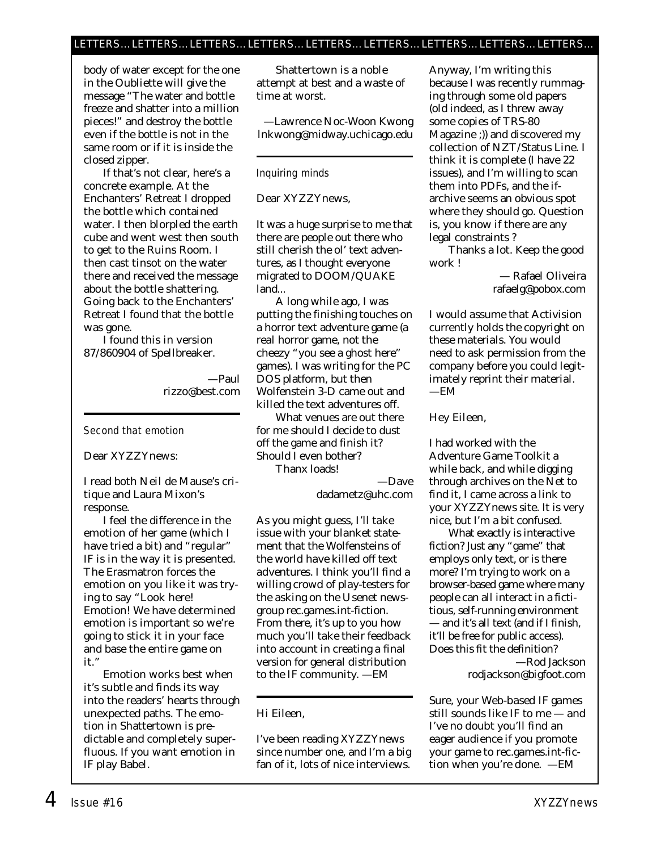### LETTERS…LETTERS…LETTERS…LETTERS…LETTERS…LETTERS…LETTERS…LETTERS…LETTERS…

body of water except for the one in the Oubliette will give the message "The water and bottle freeze and shatter into a million pieces!" and destroy the bottle even if the bottle is not in the same room or if it is inside the closed zipper.

If that's not clear, here's a concrete example. At the Enchanters' Retreat I dropped the bottle which contained water. I then blorpled the earth cube and went west then south to get to the Ruins Room. I then cast tinsot on the water there and received the message about the bottle shattering. Going back to the Enchanters' Retreat I found that the bottle was gone.

I found this in version 87/860904 of Spellbreaker.

> —Paul rizzo@best.com

### Second that emotion

### Dear XYZZYnews:

I read both Neil de Mause's critique and Laura Mixon's response.

I feel the difference in the emotion of her game (which I have tried a bit) and "regular" IF is in the way it is presented. The Erasmatron forces the emotion on you like it was trying to say "Look here! Emotion! We have determined emotion is important so we're going to stick it in your face and base the entire game on it."

Emotion works best when it's subtle and finds its way into the readers' hearts through unexpected paths. The emotion in Shattertown is predictable and completely superfluous. If you want emotion in IF play Babel.

Shattertown is a noble attempt at best and a waste of time at worst.

—Lawrence Noc-Woon Kwong lnkwong@midway.uchicago.edu

### Inquiring minds

Dear XYZZYnews,

It was a huge surprise to me that there are people out there who still cherish the ol' text adventures, as I thought everyone migrated to DOOM/QUAKE land...

A long while ago, I was putting the finishing touches on a horror text adventure game (a *real* horror game, not the cheezy "you see a ghost here" games). I was writing for the PC DOS platform, but then Wolfenstein 3-D came out and killed the text adventures off.

What venues are out there for me should I decide to dust off the game and finish it? Should I even bother? Thanx loads!

dadametz@uhc.com

—Dave

*As you might guess, I'll take issue with your blanket statement that the Wolfensteins of the world have killed off text adventures. I think you'll find a willing crowd of play-testers for the asking on the Usenet newsgroup rec.games.int-fiction. From there, it's up to you how much you'll take their feedback into account in creating a final version for general distribution to the IF community. —EM*

### Hi Eileen,

I've been reading XYZZYnews since number one, and I'm a big fan of it, lots of nice interviews. Anyway, I'm writing this because I was recently rummaging through some old papers (old indeed, as I threw away some copies of TRS-80 Magazine ;)) and discovered my collection of NZT/Status Line. I think it is complete (I have 22 issues), and I'm willing to scan them into PDFs, and the ifarchive seems an obvious spot where they should go. Question is, you know if there are any legal constraints ?

Thanks a lot. Keep the good work !

> — Rafael Oliveira rafaelg@pobox.com

*I would assume that Activision currently holds the copyright on these materials. You would need to ask permission from the company before you could legitimately reprint their material. —EM*

Hey Eileen,

I had worked with the Adventure Game Toolkit a while back, and while digging through archives on the Net to find it, I came across a link to your XYZZYnews site. It is very nice, but I'm a bit confused.

What exactly is interactive fiction? Just any "game" that employs only text, or is there more? I'm trying to work on a browser-based game where many people can all interact in a fictitious, self-running environment — and it's all text (and if I finish, it'll be free for public access). Does this fit the definition? —Rod Jackson

rodjackson@bigfoot.com

*Sure, your Web-based IF games still sounds like IF to me — and I've no doubt you'll find an eager audience if you promote your game to rec.games.int-fiction when you're done. —EM*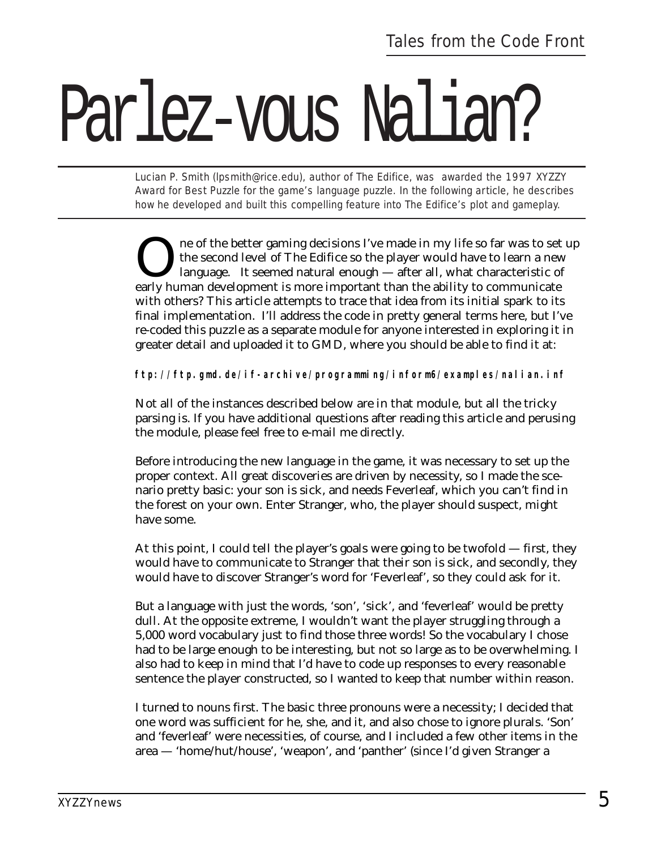# Parlez vous Nalian?

*Lucian P. Smith (lpsmith@rice.edu), author of The Edifice, was awarded the 1997 XYZZY Award for Best Puzzle for the game's language puzzle. In the following article, he describes how he developed and built this compelling feature into The Edifice's plot and gameplay.*

ne of the better gaming decisions I've made in my life so far was to set up the second level of The Edifice so the player would have to learn a new language. It seemed natural enough — after all, what characteristic of early human development is more important than the ability to communicate with others? This article attempts to trace that idea from its initial spark to its final implementation. I'll address the code in pretty general terms here, but I've re-coded this puzzle as a separate module for anyone interested in exploring it in greater detail and uploaded it to GMD, where you should be able to find it at:

**ftp://ftp.gmd.de/if-archive/programming/inform6/examples/nalian.inf**

Not all of the instances described below are in that module, but all the tricky parsing is. If you have additional questions after reading this article and perusing the module, please feel free to e-mail me directly.

Before introducing the new language in the game, it was necessary to set up the proper context. All great discoveries are driven by necessity, so I made the scenario pretty basic: your son is sick, and needs Feverleaf, which you can't find in the forest on your own. Enter Stranger, who, the player should suspect, might have some.

At this point, I could tell the player's goals were going to be twofold — first, they would have to communicate to Stranger that their son is sick, and secondly, they would have to discover Stranger's word for 'Feverleaf', so they could ask for it.

But a language with just the words, 'son', 'sick', and 'feverleaf' would be pretty dull. At the opposite extreme, I wouldn't want the player struggling through a 5,000 word vocabulary just to find those three words! So the vocabulary I chose had to be large enough to be interesting, but not so large as to be overwhelming. I also had to keep in mind that I'd have to code up responses to every reasonable sentence the player constructed, so I wanted to keep that number within reason.

I turned to nouns first. The basic three pronouns were a necessity; I decided that one word was sufficient for he, she, and it, and also chose to ignore plurals. 'Son' and 'feverleaf' were necessities, of course, and I included a few other items in the area — 'home/hut/house', 'weapon', and 'panther' (since I'd given Stranger a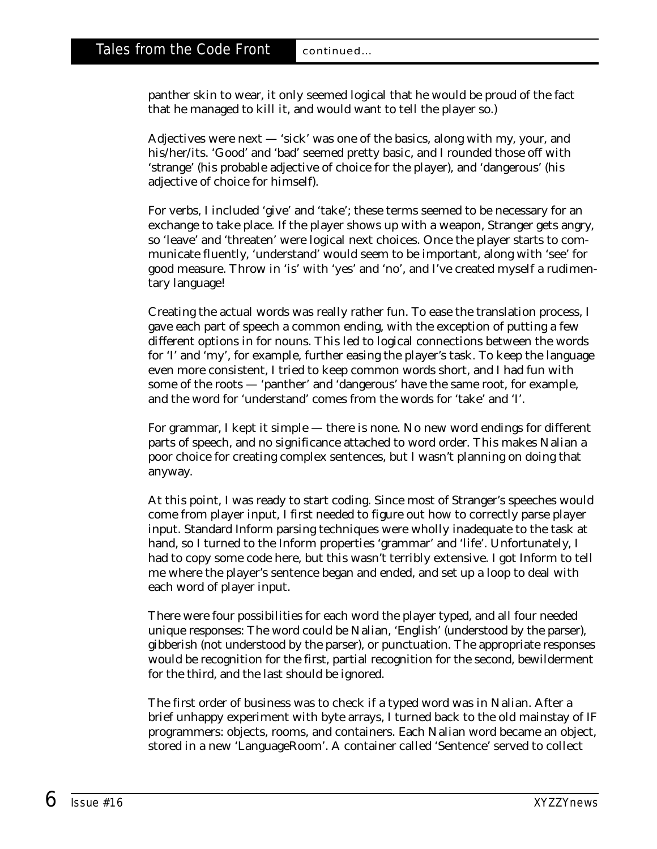panther skin to wear, it only seemed logical that he would be proud of the fact that he managed to kill it, and would want to tell the player so.)

Adjectives were next — 'sick' was one of the basics, along with my, your, and his/her/its. 'Good' and 'bad' seemed pretty basic, and I rounded those off with 'strange' (his probable adjective of choice for the player), and 'dangerous' (his adjective of choice for himself).

For verbs, I included 'give' and 'take'; these terms seemed to be necessary for an exchange to take place. If the player shows up with a weapon, Stranger gets angry, so 'leave' and 'threaten' were logical next choices. Once the player starts to communicate fluently, 'understand' would seem to be important, along with 'see' for good measure. Throw in 'is' with 'yes' and 'no', and I've created myself a rudimentary language!

Creating the actual words was really rather fun. To ease the translation process, I gave each part of speech a common ending, with the exception of putting a few different options in for nouns. This led to logical connections between the words for 'I' and 'my', for example, further easing the player's task. To keep the language even more consistent, I tried to keep common words short, and I had fun with some of the roots — 'panther' and 'dangerous' have the same root, for example, and the word for 'understand' comes from the words for 'take' and 'I'.

For grammar, I kept it simple — there is none. No new word endings for different parts of speech, and no significance attached to word order. This makes Nalian a poor choice for creating complex sentences, but I wasn't planning on doing that anyway.

At this point, I was ready to start coding. Since most of Stranger's speeches would come from player input, I first needed to figure out how to correctly parse player input. Standard Inform parsing techniques were wholly inadequate to the task at hand, so I turned to the Inform properties 'grammar' and 'life'. Unfortunately, I had to copy some code here, but this wasn't terribly extensive. I got Inform to tell me where the player's sentence began and ended, and set up a loop to deal with each word of player input.

There were four possibilities for each word the player typed, and all four needed unique responses: The word could be Nalian, 'English' (understood by the parser), gibberish (not understood by the parser), or punctuation. The appropriate responses would be recognition for the first, partial recognition for the second, bewilderment for the third, and the last should be ignored.

The first order of business was to check if a typed word was in Nalian. After a brief unhappy experiment with byte arrays, I turned back to the old mainstay of IF programmers: objects, rooms, and containers. Each Nalian word became an object, stored in a new 'LanguageRoom'. A container called 'Sentence' served to collect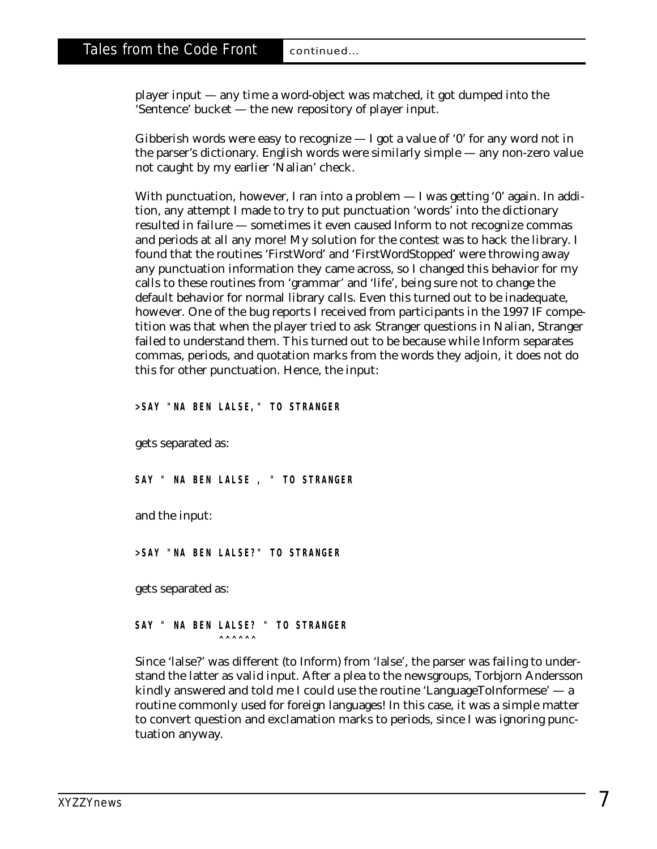player input — any time a word-object was matched, it got dumped into the 'Sentence' bucket — the new repository of player input.

Gibberish words were easy to recognize  $-1$  got a value of '0' for any word not in the parser's dictionary. English words were similarly simple — any non-zero value not caught by my earlier 'Nalian' check.

With punctuation, however, I ran into a problem — I was getting '0' again. In addition, any attempt I made to try to put punctuation 'words' into the dictionary resulted in failure — sometimes it even caused Inform to not recognize commas and periods at all any more! My solution for the contest was to hack the library. I found that the routines 'FirstWord' and 'FirstWordStopped' were throwing away any punctuation information they came across, so I changed this behavior for my calls to these routines from 'grammar' and 'life', being sure not to change the default behavior for normal library calls. Even this turned out to be inadequate, however. One of the bug reports I received from participants in the 1997 IF competition was that when the player tried to ask Stranger questions in Nalian, Stranger failed to understand them. This turned out to be because while Inform separates commas, periods, and quotation marks from the words they adjoin, it does not do this for other punctuation. Hence, the input:

**>SAY "NA BEN LALSE," TO STRANGER**

gets separated as:

**SAY " NA BEN LALSE , " TO STRANGER**

and the input:

**>SAY "NA BEN LALSE?" TO STRANGER**

gets separated as:

**SAY " NA BEN LALSE? " TO STRANGER ^^^^^^**

Since 'lalse?' was different (to Inform) from 'lalse', the parser was failing to understand the latter as valid input. After a plea to the newsgroups, Torbjorn Andersson kindly answered and told me I could use the routine 'LanguageToInformese'  $-$  a routine commonly used for foreign languages! In this case, it was a simple matter to convert question and exclamation marks to periods, since I was ignoring punctuation anyway.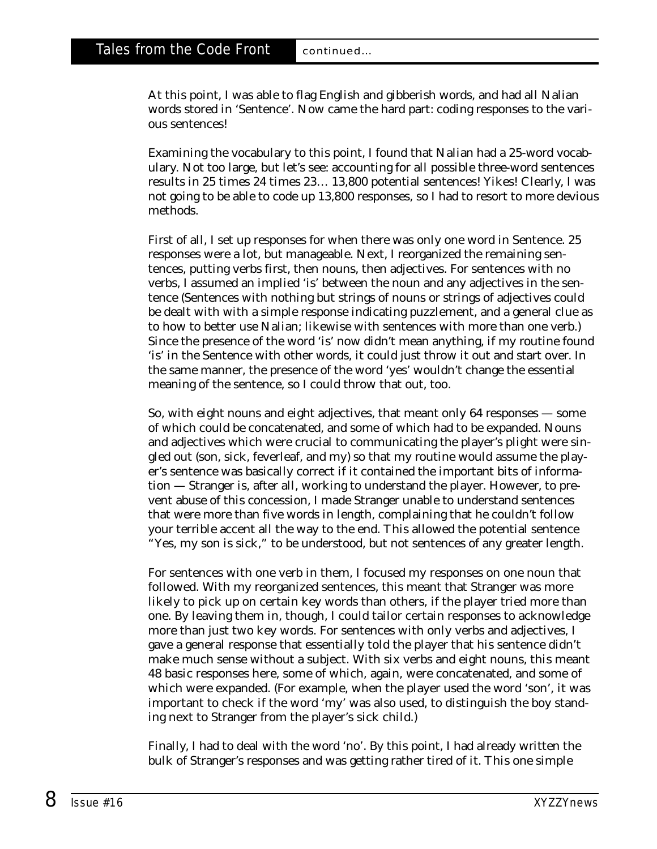At this point, I was able to flag English and gibberish words, and had all Nalian words stored in 'Sentence'. Now came the hard part: coding responses to the various sentences!

Examining the vocabulary to this point, I found that Nalian had a 25-word vocabulary. Not too large, but let's see: accounting for all possible three-word sentences results in 25 times 24 times 23… 13,800 potential sentences! Yikes! Clearly, I was not going to be able to code up 13,800 responses, so I had to resort to more devious methods.

First of all, I set up responses for when there was only one word in Sentence. 25 responses were a lot, but manageable. Next, I reorganized the remaining sentences, putting verbs first, then nouns, then adjectives. For sentences with no verbs, I assumed an implied 'is' between the noun and any adjectives in the sentence (Sentences with nothing but strings of nouns or strings of adjectives could be dealt with with a simple response indicating puzzlement, and a general clue as to how to better use Nalian; likewise with sentences with more than one verb.) Since the presence of the word 'is' now didn't mean anything, if my routine found 'is' in the Sentence with other words, it could just throw it out and start over. In the same manner, the presence of the word 'yes' wouldn't change the essential meaning of the sentence, so I could throw that out, too.

So, with eight nouns and eight adjectives, that meant only 64 responses — some of which could be concatenated, and some of which had to be expanded. Nouns and adjectives which were crucial to communicating the player's plight were singled out (son, sick, feverleaf, and my) so that my routine would assume the player's sentence was basically correct if it contained the important bits of information — Stranger is, after all, working to understand the player. However, to prevent abuse of this concession, I made Stranger unable to understand sentences that were more than five words in length, complaining that he couldn't follow your terrible accent all the way to the end. This allowed the potential sentence "Yes, my son is sick," to be understood, but not sentences of any greater length.

For sentences with one verb in them, I focused my responses on one noun that followed. With my reorganized sentences, this meant that Stranger was more likely to pick up on certain key words than others, if the player tried more than one. By leaving them in, though, I could tailor certain responses to acknowledge more than just two key words. For sentences with only verbs and adjectives, I gave a general response that essentially told the player that his sentence didn't make much sense without a subject. With six verbs and eight nouns, this meant 48 basic responses here, some of which, again, were concatenated, and some of which were expanded. (For example, when the player used the word 'son', it was important to check if the word 'my' was also used, to distinguish the boy standing next to Stranger from the player's sick child.)

Finally, I had to deal with the word 'no'. By this point, I had already written the bulk of Stranger's responses and was getting rather tired of it. This one simple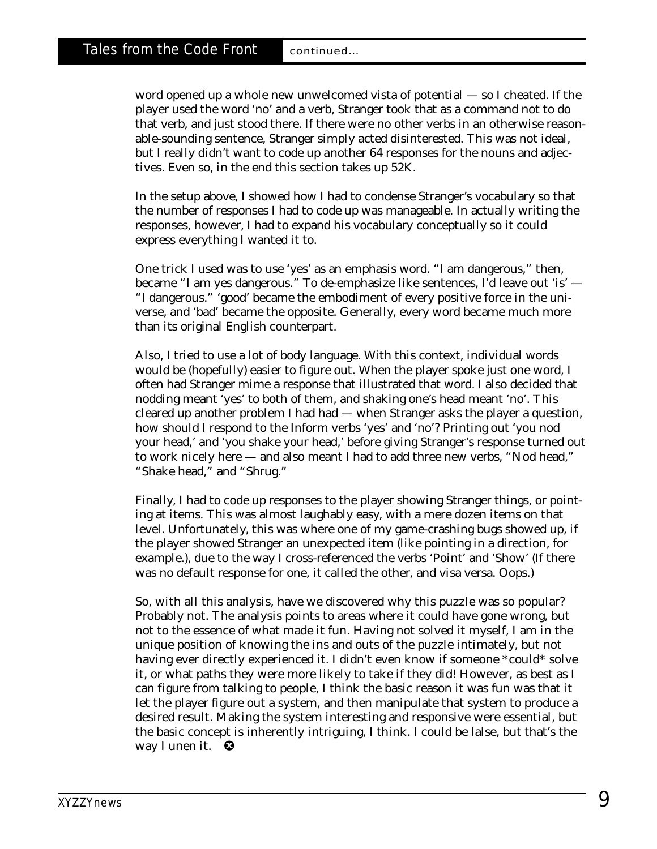word opened up a whole new unwelcomed vista of potential — so I cheated. If the player used the word 'no' and a verb, Stranger took that as a command not to do that verb, and just stood there. If there were no other verbs in an otherwise reasonable-sounding sentence, Stranger simply acted disinterested. This was not ideal, but I really didn't want to code up *another* 64 responses for the nouns and adjectives. Even so, in the end this section takes up 52K.

In the setup above, I showed how I had to condense Stranger's vocabulary so that the number of responses I had to code up was manageable. In actually writing the responses, however, I had to expand his vocabulary conceptually so it could express everything I wanted it to.

One trick I used was to use 'yes' as an emphasis word. "I am dangerous," then, became "I am yes dangerous." To de-emphasize like sentences, I'd leave out 'is' — "I dangerous." 'good' became the embodiment of every positive force in the universe, and 'bad' became the opposite. Generally, every word became much more than its original English counterpart.

Also, I tried to use a lot of body language. With this context, individual words would be (hopefully) easier to figure out. When the player spoke just one word, I often had Stranger mime a response that illustrated that word. I also decided that nodding meant 'yes' to both of them, and shaking one's head meant 'no'. This cleared up another problem I had had — when Stranger asks the player a question, how should I respond to the Inform verbs 'yes' and 'no'? Printing out 'you nod your head,' and 'you shake your head,' before giving Stranger's response turned out to work nicely here — and also meant I had to add three new verbs, "Nod head," "Shake head," and "Shrug."

Finally, I had to code up responses to the player showing Stranger things, or pointing at items. This was almost laughably easy, with a mere dozen items on that level. Unfortunately, this was where one of my game-crashing bugs showed up, if the player showed Stranger an unexpected item (like pointing in a direction, for example.), due to the way I cross-referenced the verbs 'Point' and 'Show' (If there was no default response for one, it called the other, and visa versa. Oops.)

So, with all this analysis, have we discovered why this puzzle was so popular? Probably not. The analysis points to areas where it could have gone wrong, but not to the essence of what made it fun. Having not solved it myself, I am in the unique position of knowing the ins and outs of the puzzle intimately, but not having ever directly experienced it. I didn't even know if someone \*could\* solve it, or what paths they were more likely to take if they did! However, as best as I can figure from talking to people, I think the basic reason it was fun was that it let the player figure out a system, and then manipulate that system to produce a desired result. Making the system interesting and responsive were essential, but the basic concept is inherently intriguing, I think. I could be lalse, but that's the way I unen it. ❸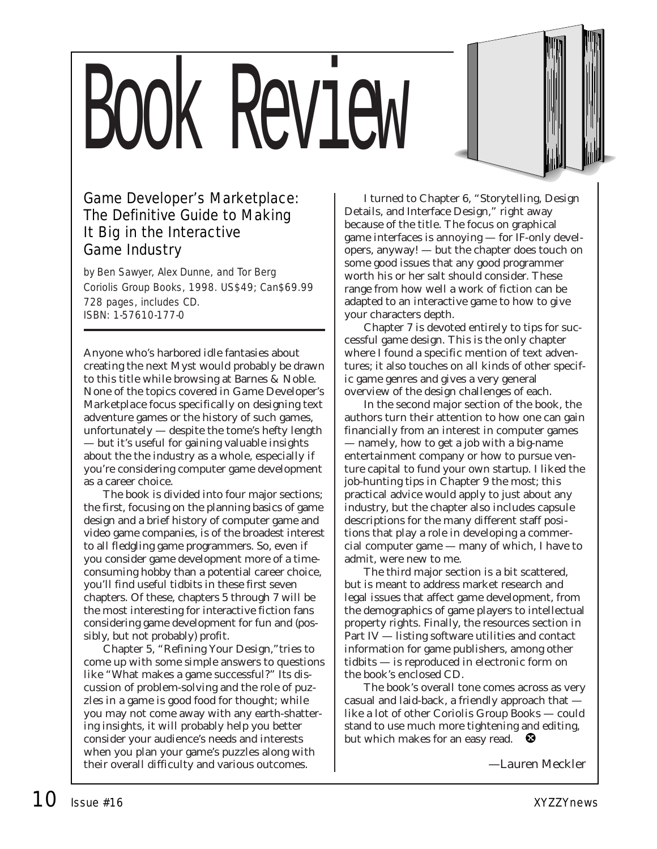# Book Review



by Ben Sawyer, Alex Dunne, and Tor Berg Coriolis Group Books, 1998. US\$49; Can\$69.99 728 pages, includes CD. ISBN: 1-57610-177-0

Anyone who's harbored idle fantasies about creating the next Myst would probably be drawn to this title while browsing at Barnes & Noble. None of the topics covered in *Game Developer's Marketplace* focus specifically on designing text adventure games or the history of such games, unfortunately — despite the tome's hefty length — but it's useful for gaining valuable insights about the the industry as a whole, especially if you're considering computer game development as a career choice.

The book is divided into four major sections; the first, focusing on the planning basics of game design and a brief history of computer game and video game companies, is of the broadest interest to all fledgling game programmers. So, even if you consider game development more of a timeconsuming hobby than a potential career choice, you'll find useful tidbits in these first seven chapters. Of these, chapters 5 through 7 will be the most interesting for interactive fiction fans considering game development for fun and (possibly, but not probably) profit.

Chapter 5, "Refining Your Design,"tries to come up with some simple answers to questions like "What makes a game successful?" Its discussion of problem-solving and the role of puzzles in a game is good food for thought; while you may not come away with any earth-shattering insights, it will probably help you better consider your audience's needs and interests when you plan your game's puzzles along with their overall difficulty and various outcomes.

I turned to Chapter 6, "Storytelling, Design Details, and Interface Design," right away because of the title. The focus on graphical game interfaces is annoying — for IF-only developers, anyway! — but the chapter does touch on some good issues that any good programmer worth his or her salt should consider. These range from how well a work of fiction can be adapted to an interactive game to how to give your characters depth.

Chapter 7 is devoted entirely to tips for successful game design. This is the only chapter where I found a specific mention of text adventures; it also touches on all kinds of other specific game genres and gives a very general overview of the design challenges of each.

In the second major section of the book, the authors turn their attention to how one can gain financially from an interest in computer games — namely, how to get a job with a big-name entertainment company or how to pursue venture capital to fund your own startup. I liked the job-hunting tips in Chapter 9 the most; this practical advice would apply to just about any industry, but the chapter also includes capsule descriptions for the many different staff positions that play a role in developing a commercial computer game — many of which, I have to admit, were new to me.

The third major section is a bit scattered, but is meant to address market research and legal issues that affect game development, from the demographics of game players to intellectual property rights. Finally, the resources section in Part IV — listing software utilities and contact information for game publishers, among other tidbits — is reproduced in electronic form on the book's enclosed CD.

The book's overall tone comes across as very casual and laid-back, a friendly approach that like a lot of other Coriolis Group Books — could stand to use much more tightening and editing, but which makes for an easy read.  $\bullet$ 

*—Lauren Meckler*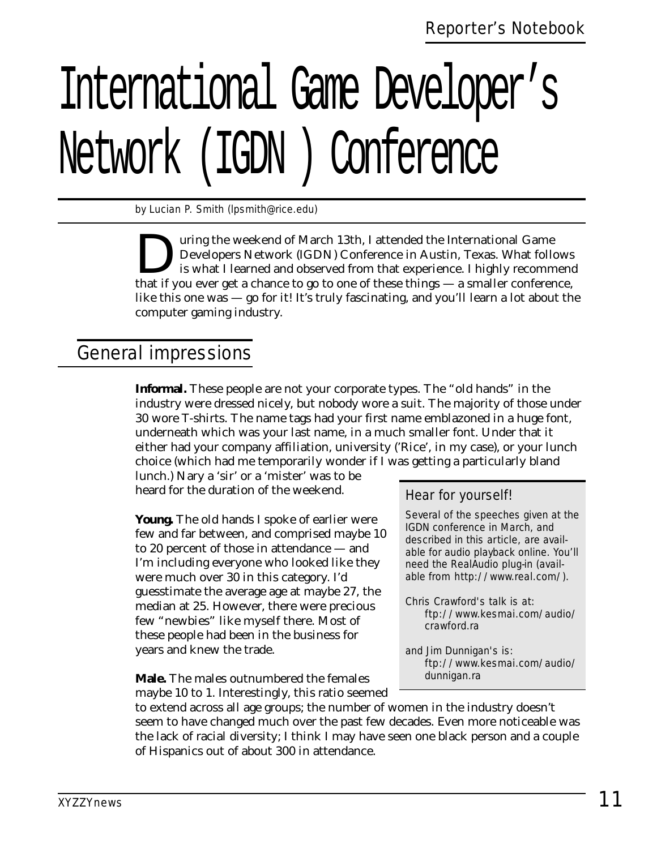# International Game Developer's Network (IGDN ) Conference

*by Lucian P. Smith (lpsmith@rice.edu)* 

uring the weekend of March 13th, I attended the International Game Developers Network (IGDN) Conference in Austin, Texas. What follows is what I learned and observed from that experience. I highly recommend that if you ever get a chance to go to one of these things — a smaller conference, like this one was — go for it! It's truly fascinating, and you'll learn a lot about the computer gaming industry.

# General impressions

**Informal.** These people are not your corporate types. The "old hands" in the industry were dressed nicely, but nobody wore a suit. The majority of those under 30 wore T-shirts. The name tags had your first name emblazoned in a huge font, underneath which was your last name, in a much smaller font. Under that it either had your company affiliation, university ('Rice', in my case), or your lunch choice (which had me temporarily wonder if I was getting a particularly bland

lunch.) Nary a 'sir' or a 'mister' was to be heard for the duration of the weekend.

**Young.** The old hands I spoke of earlier were few and far between, and comprised maybe 10 to 20 percent of those in attendance — and I'm including everyone who looked like they were much over 30 in this category. I'd guesstimate the average age at maybe 27, the median at 25. However, there were precious few "newbies" like myself there. Most of these people had been in the business for years and knew the trade.

**Male.** The males outnumbered the females maybe 10 to 1. Interestingly, this ratio seemed

### Hear for yourself!

Several of the speeches given at the IGDN conference in March, and described in this article, are available for audio playback online. You'll need the RealAudio plug-in (available from http://www.real.com/).

- Chris Crawford's talk is at: ftp://www.kesmai.com/audio/ crawford.ra
- and Jim Dunnigan's is: ftp://www.kesmai.com/audio/ dunnigan.ra

to extend across all age groups; the number of women in the industry doesn't seem to have changed much over the past few decades. Even more noticeable was the lack of racial diversity; I think I may have seen one black person and a couple of Hispanics out of about 300 in attendance.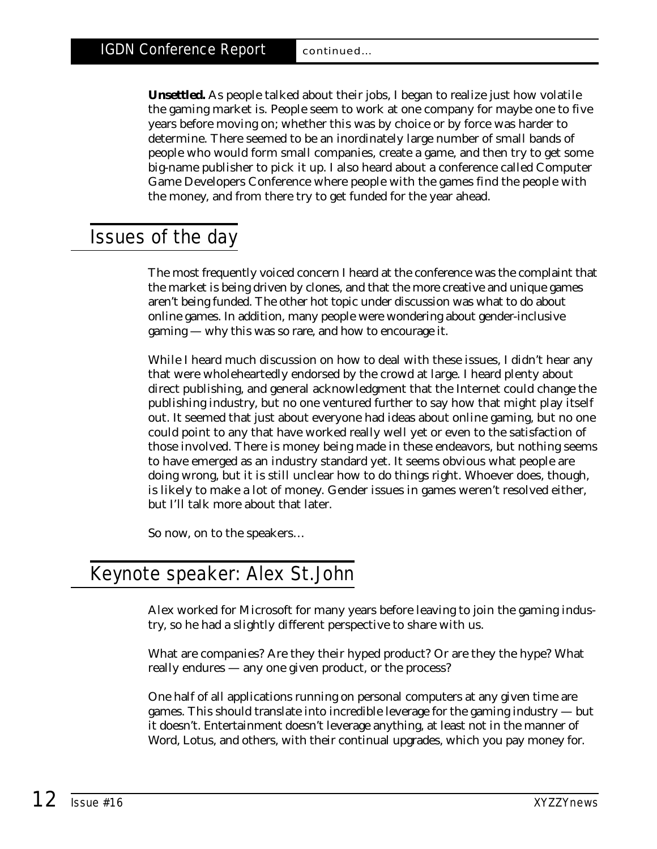**Unsettled.** As people talked about their jobs, I began to realize just how volatile the gaming market is. People seem to work at one company for maybe one to five years before moving on; whether this was by choice or by force was harder to determine. There seemed to be an inordinately large number of small bands of people who would form small companies, create a game, and then try to get some big-name publisher to pick it up. I also heard about a conference called Computer Game Developers Conference where people with the games find the people with the money, and from there try to get funded for the year ahead.

## Issues of the day

The most frequently voiced concern I heard at the conference was the complaint that the market is being driven by clones, and that the more creative and unique games aren't being funded. The other hot topic under discussion was what to do about online games. In addition, many people were wondering about gender-inclusive gaming — why this was so rare, and how to encourage it.

While I heard much discussion on how to deal with these issues, I didn't hear any that were wholeheartedly endorsed by the crowd at large. I heard plenty about direct publishing, and general acknowledgment that the Internet could change the publishing industry, but no one ventured further to say how that might play itself out. It seemed that just about everyone had ideas about online gaming, but no one could point to any that have worked really well yet or even to the satisfaction of those involved. There is money being made in these endeavors, but nothing seems to have emerged as an industry standard yet. It seems obvious what people are doing wrong, but it is still unclear how to do things right. Whoever does, though, is likely to make a lot of money. Gender issues in games weren't resolved either, but I'll talk more about that later.

So now, on to the speakers…

# Keynote speaker: Alex St.John

Alex worked for Microsoft for many years before leaving to join the gaming industry, so he had a slightly different perspective to share with us.

What are companies? Are they their hyped product? Or are they the hype? What really endures — any one given product, or the process?

One half of all applications running on personal computers at any given time are games. This should translate into incredible leverage for the gaming industry — but it doesn't. Entertainment doesn't leverage anything, at least not in the manner of Word, Lotus, and others, with their continual upgrades, which you pay money for.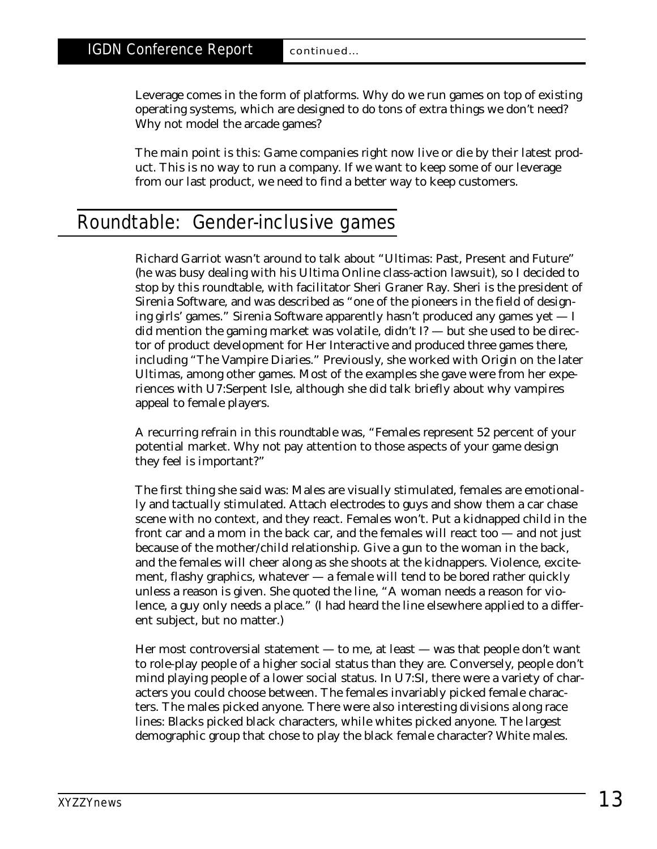Leverage comes in the form of platforms. Why do we run games on top of existing operating systems, which are designed to do tons of extra things we don't need? Why not model the arcade games?

The main point is this: Game companies right now live or die by their latest product. This is no way to run a company. If we want to keep some of our leverage from our last product, we need to find a better way to keep customers.

# Roundtable: Gender-inclusive games

Richard Garriot wasn't around to talk about "Ultimas: Past, Present and Future" (he was busy dealing with his Ultima Online class-action lawsuit), so I decided to stop by this roundtable, with facilitator Sheri Graner Ray. Sheri is the president of Sirenia Software, and was described as "one of the pioneers in the field of designing girls' games." Sirenia Software apparently hasn't produced any games yet — I did mention the gaming market was volatile, didn't I? — but she used to be director of product development for Her Interactive and produced three games there, including "The Vampire Diaries." Previously, she worked with Origin on the later Ultimas, among other games. Most of the examples she gave were from her experiences with U7:Serpent Isle, although she did talk briefly about why vampires appeal to female players.

A recurring refrain in this roundtable was, "Females represent 52 percent of your potential market. Why not pay attention to those aspects of your game design they feel is important?"

The first thing she said was: Males are visually stimulated, females are emotionally and tactually stimulated. Attach electrodes to guys and show them a car chase scene with no context, and they react. Females won't. Put a kidnapped child in the front car and a mom in the back car, and the females will react too — and not just because of the mother/child relationship. Give a gun to the woman in the back, and the females will cheer along as she shoots at the kidnappers. Violence, excitement, flashy graphics, whatever — a female will tend to be bored rather quickly unless a reason is given. She quoted the line, "A woman needs a reason for violence, a guy only needs a place." (I had heard the line elsewhere applied to a different subject, but no matter.)

Her most controversial statement — to me, at least — was that people don't want to role-play people of a higher social status than they are. Conversely, people don't mind playing people of a lower social status. In U7:SI, there were a variety of characters you could choose between. The females invariably picked female characters. The males picked anyone. There were also interesting divisions along race lines: Blacks picked black characters, while whites picked anyone. The largest demographic group that chose to play the black female character? White males.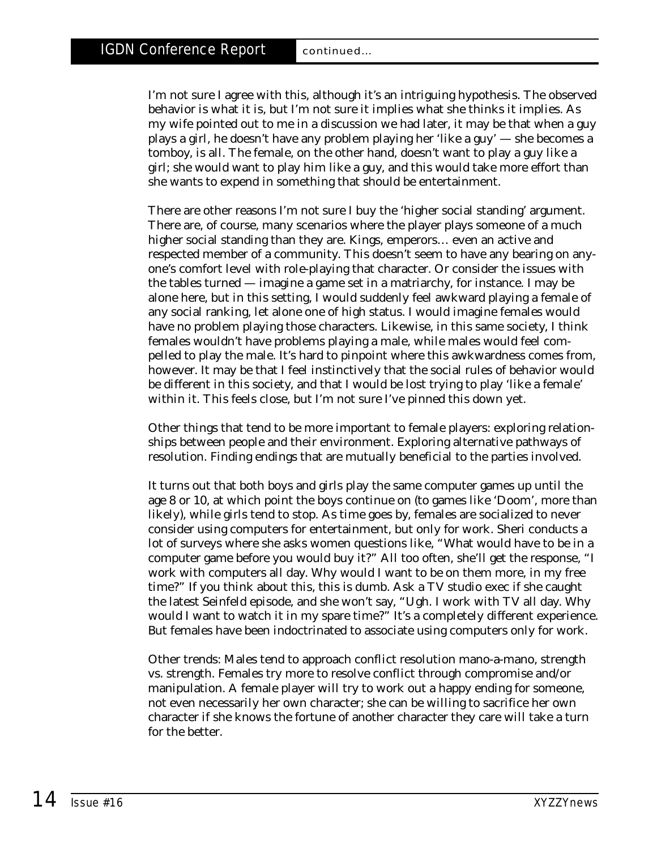I'm not sure I agree with this, although it's an intriguing hypothesis. The observed behavior is what it is, but I'm not sure it implies what she thinks it implies. As my wife pointed out to me in a discussion we had later, it may be that when a guy plays a girl, he doesn't have any problem playing her 'like a guy' — she becomes a tomboy, is all. The female, on the other hand, doesn't want to play a guy like a girl; she would want to play him like a guy, and this would take more effort than she wants to expend in something that should be entertainment.

There are other reasons I'm not sure I buy the 'higher social standing' argument. There are, of course, many scenarios where the player plays someone of a *much* higher social standing than they are. Kings, emperors… even an active and respected member of a community. This doesn't seem to have any bearing on anyone's comfort level with role-playing that character. Or consider the issues with the tables turned — imagine a game set in a matriarchy, for instance. I may be alone here, but in this setting, I would suddenly feel awkward playing a female of any social ranking, let alone one of high status. I would imagine females would have no problem playing those characters. Likewise, in this same society, I think females wouldn't have problems playing a male, while males would feel compelled to play the male. It's hard to pinpoint where this awkwardness comes from, however. It may be that I feel instinctively that the social rules of behavior would be different in this society, and that I would be lost trying to play 'like a female' within it. This feels close, but I'm not sure I've pinned this down yet.

Other things that tend to be more important to female players: exploring relationships between people and their environment. Exploring alternative pathways of resolution. Finding endings that are mutually beneficial to the parties involved.

It turns out that both boys and girls play the same computer games up until the age 8 or 10, at which point the boys continue on (to games like 'Doom', more than likely), while girls tend to stop. As time goes by, females are socialized to never consider using computers for entertainment, but only for work. Sheri conducts a lot of surveys where she asks women questions like, "What would have to be in a computer game before you would buy it?" All too often, she'll get the response, "I work with computers all day. Why would I want to be on them more, in my free time?" If you think about this, this is dumb. Ask a TV studio exec if she caught the latest Seinfeld episode, and she won't say, "Ugh. I work with TV all day. Why would I want to watch it in my spare time?" It's a completely different experience. But females have been indoctrinated to associate using computers only for work.

Other trends: Males tend to approach conflict resolution mano-a-mano, strength vs. strength. Females try more to resolve conflict through compromise and/or manipulation. A female player will try to work out a happy ending for *someone,* not even necessarily her own character; she can be willing to sacrifice her own character if she knows the fortune of another character they care will take a turn for the better.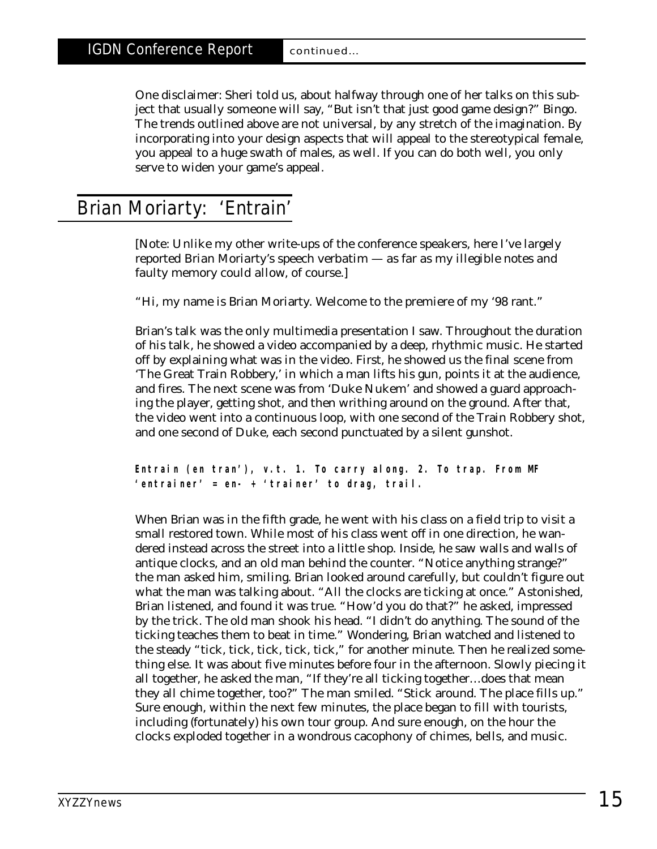One disclaimer: Sheri told us, about halfway through one of her talks on this subject that usually someone will say, "But isn't that just good game design?" Bingo. The trends outlined above are not universal, by any stretch of the imagination. By incorporating into your design aspects that will appeal to the stereotypical female, you appeal to a huge swath of males, as well. If you can do both well, you only serve to widen your game's appeal.

# Brian Moriarty: 'Entrain'

*[Note: Unlike my other write-ups of the conference speakers, here I've largely reported Brian Moriarty's speech verbatim — as far as my illegible notes and faulty memory could allow, of course.]*

"Hi, my name is Brian Moriarty. Welcome to the premiere of my '98 rant."

Brian's talk was the only multimedia presentation I saw. Throughout the duration of his talk, he showed a video accompanied by a deep, rhythmic music. He started off by explaining what was in the video. First, he showed us the final scene from 'The Great Train Robbery,' in which a man lifts his gun, points it at the audience, and fires. The next scene was from 'Duke Nukem' and showed a guard approaching the player, getting shot, and then writhing around on the ground. After that, the video went into a continuous loop, with one second of the Train Robbery shot, and one second of Duke, each second punctuated by a silent gunshot.

**Entrain (en tran'), v.t. 1. To carry along. 2. To trap. From MF 'entrainer' = en- + 'trainer' to drag, trail.**

When Brian was in the fifth grade, he went with his class on a field trip to visit a small restored town. While most of his class went off in one direction, he wandered instead across the street into a little shop. Inside, he saw walls and walls of antique clocks, and an old man behind the counter. "Notice anything strange?" the man asked him, smiling. Brian looked around carefully, but couldn't figure out what the man was talking about. "All the clocks are ticking at once." Astonished, Brian listened, and found it was true. "How'd you do that?" he asked, impressed by the trick. The old man shook his head. "I didn't do anything. The sound of the ticking teaches them to beat in time." Wondering, Brian watched and listened to the steady "tick, tick, tick, tick, tick," for another minute. Then he realized something else. It was about five minutes before four in the afternoon. Slowly piecing it all together, he asked the man, "If they're all ticking together…does that mean they all chime together, too?" The man smiled. "Stick around. The place fills up." Sure enough, within the next few minutes, the place began to fill with tourists, including (fortunately) his own tour group. And sure enough, on the hour the clocks exploded together in a wondrous cacophony of chimes, bells, and music.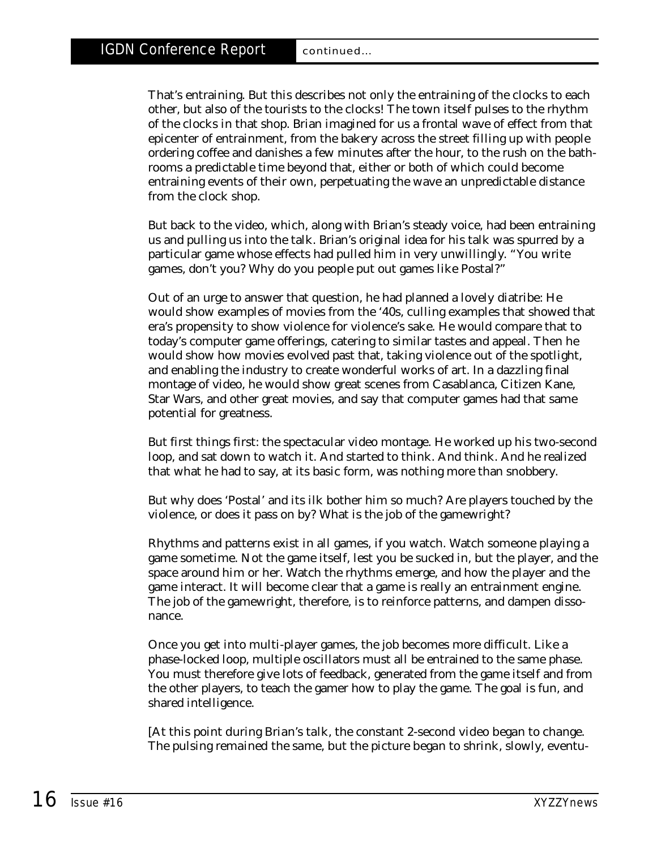That's entraining. But this describes not only the entraining of the clocks to each other, but also of the tourists to the clocks! The town itself pulses to the rhythm of the clocks in that shop. Brian imagined for us a frontal wave of effect from that epicenter of entrainment, from the bakery across the street filling up with people ordering coffee and danishes a few minutes after the hour, to the rush on the bathrooms a predictable time beyond that, either or both of which could become entraining events of their own, perpetuating the wave an unpredictable distance from the clock shop.

But back to the video, which, along with Brian's steady voice, had been entraining us and pulling us into the talk. Brian's original idea for his talk was spurred by a particular game whose effects had pulled him in very unwillingly. "You write games, don't you? Why do you people put out games like Postal?"

Out of an urge to answer that question, he had planned a lovely diatribe: He would show examples of movies from the '40s, culling examples that showed that era's propensity to show violence for violence's sake. He would compare that to today's computer game offerings, catering to similar tastes and appeal. Then he would show how movies evolved past that, taking violence out of the spotlight, and enabling the industry to create wonderful works of art. In a dazzling final montage of video, he would show great scenes from Casablanca, Citizen Kane, Star Wars, and other great movies, and say that computer games had that same potential for greatness.

But first things first: the spectacular video montage. He worked up his two-second loop, and sat down to watch it. And started to think. And think. And he realized that what he had to say, at its basic form, was nothing more than snobbery.

But why does 'Postal' and its ilk bother him so much? Are players touched by the violence, or does it pass on by? What is the job of the gamewright?

Rhythms and patterns exist in all games, if you watch. Watch someone playing a game sometime. Not the game itself, lest you be sucked in, but the player, and the space around him or her. Watch the rhythms emerge, and how the player and the game interact. It will become clear that a game is really an entrainment engine. The job of the gamewright, therefore, is to reinforce patterns, and dampen dissonance.

Once you get into multi-player games, the job becomes more difficult. Like a phase-locked loop, multiple oscillators must all be entrained to the same phase. You must therefore give lots of feedback, generated from the game itself and from the other players, to teach the gamer how to play the game. The goal is fun, and shared intelligence.

*[At this point during Brian's talk, the constant 2-second video began to change. The pulsing remained the same, but the picture began to shrink, slowly, eventu-*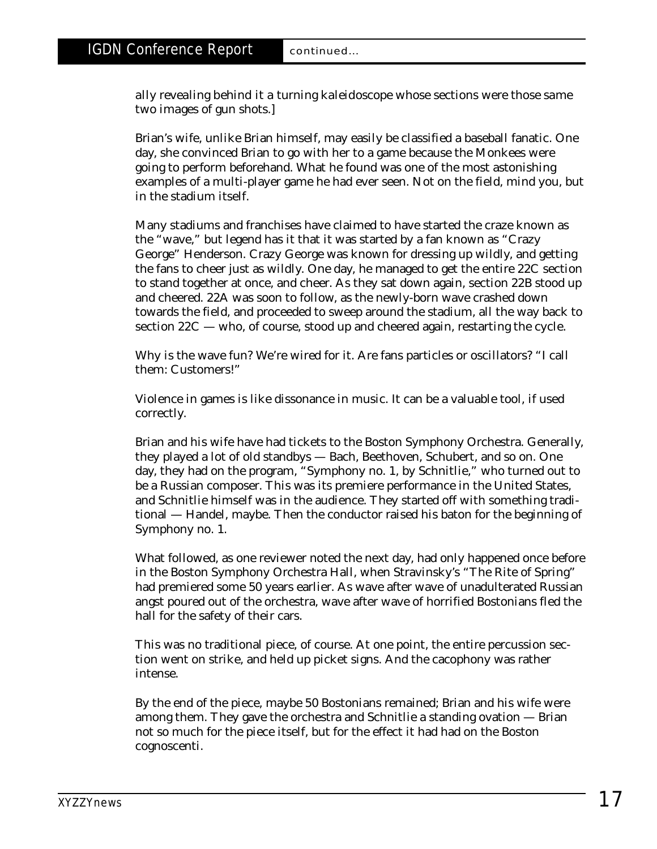*ally revealing behind it a turning kaleidoscope whose sections were those same two images of gun shots.]*

Brian's wife, unlike Brian himself, may easily be classified a baseball fanatic. One day, she convinced Brian to go with her to a game because the Monkees were going to perform beforehand. What he found was one of the most astonishing examples of a multi-player game he had ever seen. Not on the field, mind you, but in the stadium itself.

Many stadiums and franchises have claimed to have started the craze known as the "wave," but legend has it that it was started by a fan known as "Crazy George" Henderson. Crazy George was known for dressing up wildly, and getting the fans to cheer just as wildly. One day, he managed to get the entire 22C section to stand together at once, and cheer. As they sat down again, section 22B stood up and cheered. 22A was soon to follow, as the newly-born wave crashed down towards the field, and proceeded to sweep around the stadium, all the way back to section 22C — who, of course, stood up and cheered again, restarting the cycle.

Why is the wave fun? We're wired for it. Are fans particles or oscillators? "I call them: Customers!"

Violence in games is like dissonance in music. It can be a valuable tool, if used correctly.

Brian and his wife have had tickets to the Boston Symphony Orchestra. Generally, they played a lot of old standbys — Bach, Beethoven, Schubert, and so on. One day, they had on the program, "Symphony no. 1, by Schnitlie," who turned out to be a Russian composer. This was its premiere performance in the United States, and Schnitlie himself was in the audience. They started off with something traditional — Handel, maybe. Then the conductor raised his baton for the beginning of Symphony no. 1.

What followed, as one reviewer noted the next day, had only happened once before in the Boston Symphony Orchestra Hall, when Stravinsky's "The Rite of Spring" had premiered some 50 years earlier. As wave after wave of unadulterated Russian angst poured out of the orchestra, wave after wave of horrified Bostonians fled the hall for the safety of their cars.

This was no traditional piece, of course. At one point, the entire percussion section went on strike, and held up picket signs. And the cacophony was rather intense.

By the end of the piece, maybe 50 Bostonians remained; Brian and his wife were among them. They gave the orchestra and Schnitlie a standing ovation — Brian not so much for the piece itself, but for the effect it had had on the Boston cognoscenti.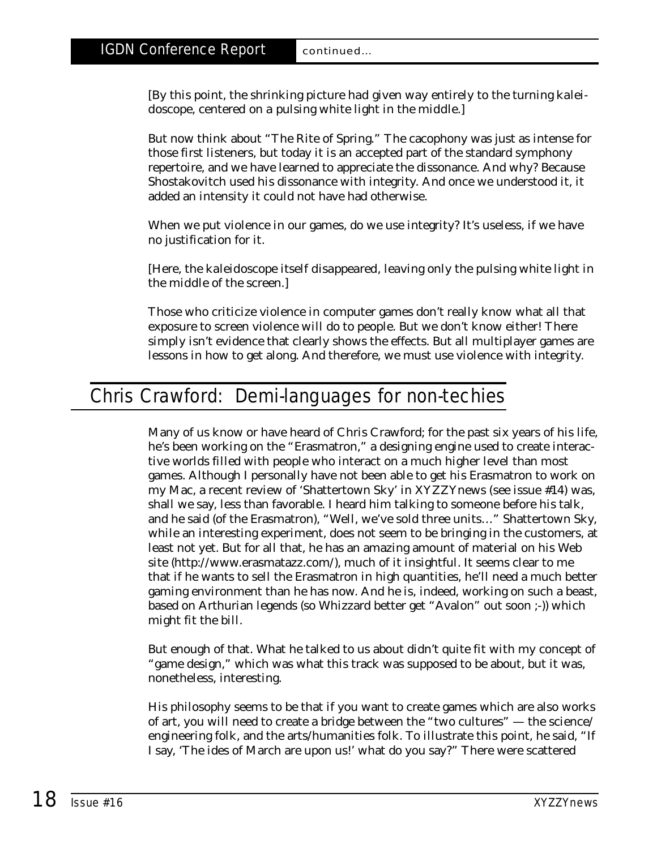*[By this point, the shrinking picture had given way entirely to the turning kaleidoscope, centered on a pulsing white light in the middle.]*

But now think about "The Rite of Spring." The cacophony was just as intense for those first listeners, but today it is an accepted part of the standard symphony repertoire, and we have learned to appreciate the dissonance. And why? Because Shostakovitch used his dissonance with integrity. And once we understood it, it added an intensity it could not have had otherwise.

When we put violence in our games, do we use integrity? It's useless, if we have no justification for it.

*[Here, the kaleidoscope itself disappeared, leaving only the pulsing white light in the middle of the screen.]*

Those who criticize violence in computer games don't really know what all that exposure to screen violence will do to people. But we don't know either! There simply isn't evidence that clearly shows the effects. But all multiplayer games are lessons in how to get along. And therefore, we must use violence with integrity.

# Chris Crawford: Demi-languages for non-techies

Many of us know or have heard of Chris Crawford; for the past six years of his life, he's been working on the "Erasmatron," a designing engine used to create interactive worlds filled with people who interact on a much higher level than most games. Although I personally have not been able to get his Erasmatron to work on my Mac, a recent review of 'Shattertown Sky' in XYZZYnews *(see issue #14)* was, shall we say, less than favorable. I heard him talking to someone before his talk, and he said (of the Erasmatron), "Well, we've sold three units…" Shattertown Sky, while an interesting experiment, does not seem to be bringing in the customers, at least not yet. But for all that, he has an amazing amount of material on his Web site (http://www.erasmatazz.com/), much of it insightful. It seems clear to me that if he wants to sell the Erasmatron in high quantities, he'll need a much better gaming environment than he has now. And he is, indeed, working on such a beast, based on Arthurian legends (so Whizzard better get "Avalon" out soon ;-)) which might fit the bill.

But enough of that. What he talked to us about didn't quite fit with my concept of "game design," which was what this track was supposed to be about, but it was, nonetheless, interesting.

His philosophy seems to be that if you want to create games which are also works of art, you will need to create a bridge between the "two cultures" — the science/ engineering folk, and the arts/humanities folk. To illustrate this point, he said, "If I say, 'The ides of March are upon us!' what do you say?" There were scattered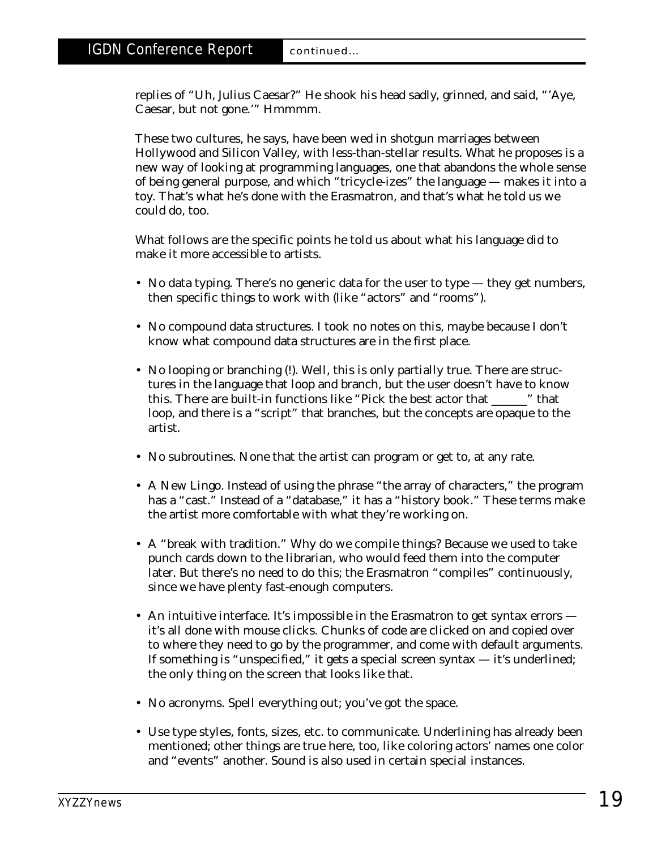replies of "Uh, Julius Caesar?" He shook his head sadly, grinned, and said, "'Aye, Caesar, but not gone.'" Hmmmm.

These two cultures, he says, have been wed in shotgun marriages between Hollywood and Silicon Valley, with less-than-stellar results. What he proposes is a new way of looking at programming languages, one that abandons the whole sense of being general purpose, and which "tricycle-izes" the language — makes it into a toy. That's what he's done with the Erasmatron, and that's what he told us we could do, too.

What follows are the specific points he told us about what his language did to make it more accessible to artists.

- No data typing. There's no generic data for the user to type they get numbers, then specific things to work with (like "actors" and "rooms").
- No compound data structures. I took no notes on this, maybe because I don't know what compound data structures are in the first place.
- No looping or branching (!). Well, this is only partially true. There are structures in the language that loop and branch, but the user doesn't have to know this. There are built-in functions like "Pick the best actor that \_\_\_\_\_\_" that loop, and there is a "script" that branches, but the concepts are opaque to the artist.
- No subroutines. None that the artist can program or get to, at any rate.
- A New Lingo. Instead of using the phrase "the array of characters," the program has a "cast." Instead of a "database," it has a "history book." These terms make the artist more comfortable with what they're working on.
- A "break with tradition." Why do we compile things? Because we used to take punch cards down to the librarian, who would feed them into the computer later. But there's no need to do this; the Erasmatron "compiles" continuously, since we have plenty fast-enough computers.
- An intuitive interface. It's impossible in the Erasmatron to get syntax errors it's all done with mouse clicks. Chunks of code are clicked on and copied over to where they need to go by the programmer, and come with default arguments. If something is "unspecified," it gets a special screen syntax — it's underlined; the only thing on the screen that looks like that.
- No acronyms. Spell everything out; you've got the space.
- Use type styles, fonts, sizes, etc. to communicate. Underlining has already been mentioned; other things are true here, too, like coloring actors' names one color and "events" another. Sound is also used in certain special instances.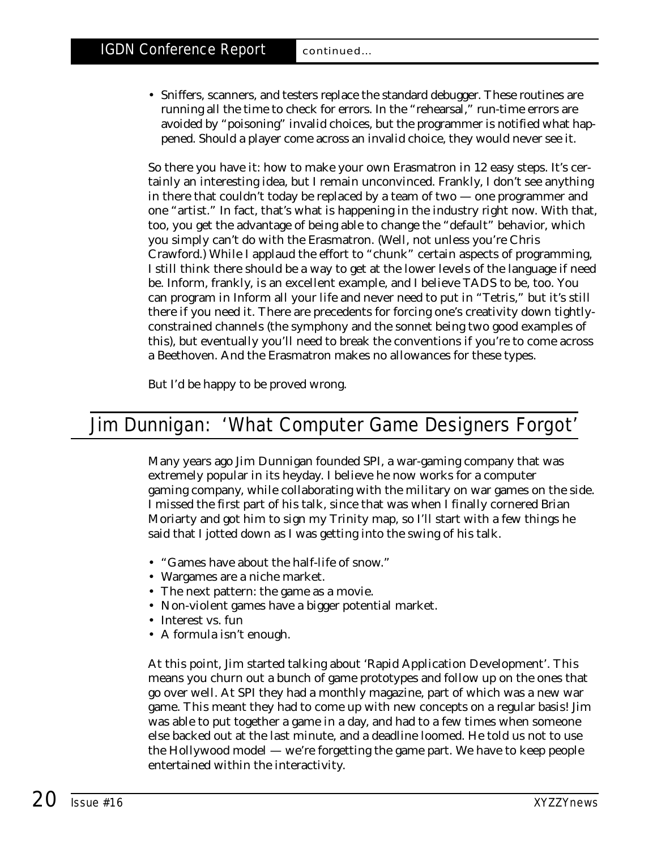• Sniffers, scanners, and testers replace the standard debugger. These routines are running all the time to check for errors. In the "rehearsal," run-time errors are avoided by "poisoning" invalid choices, but the programmer is notified what happened. Should a player come across an invalid choice, they would never see it.

So there you have it: how to make your own Erasmatron in 12 easy steps. It's certainly an interesting idea, but I remain unconvinced. Frankly, I don't see anything in there that couldn't today be replaced by a team of two — one programmer and one "artist." In fact, that's what *is* happening in the industry right now. With that, too, you get the advantage of being able to change the "default" behavior, which you simply can't do with the Erasmatron. (Well, not unless you're Chris Crawford.) While I applaud the effort to "chunk" certain aspects of programming, I still think there should be a way to get at the lower levels of the language if need be. Inform, frankly, is an excellent example, and I believe TADS to be, too. You can program in Inform all your life and never need to put in "Tetris," but it's still there if you need it. There are precedents for forcing one's creativity down tightlyconstrained channels (the symphony and the sonnet being two good examples of this), but eventually you'll need to break the conventions if you're to come across a Beethoven. And the Erasmatron makes no allowances for these types.

But I'd be happy to be proved wrong.

# Jim Dunnigan: 'What Computer Game Designers Forgot'

Many years ago Jim Dunnigan founded SPI, a war-gaming company that was extremely popular in its heyday. I believe he now works for a computer gaming company, while collaborating with the military on war games on the side. I missed the first part of his talk, since that was when I finally cornered Brian Moriarty and got him to sign my Trinity map, so I'll start with a few things he said that I jotted down as I was getting into the swing of his talk.

- "Games have about the half-life of snow."
- Wargames are a niche market.
- The next pattern: the game as a movie.
- Non-violent games have a bigger potential market.
- Interest vs. fun
- A formula isn't enough.

At this point, Jim started talking about 'Rapid Application Development'. This means you churn out a bunch of game prototypes and follow up on the ones that go over well. At SPI they had a monthly magazine, part of which was a new war game. This meant they had to come up with new concepts on a regular basis! Jim was able to put together a game in a day, and had to a few times when someone else backed out at the last minute, and a deadline loomed. He told us not to use the Hollywood model — we're forgetting the game part. We have to keep people entertained within the interactivity.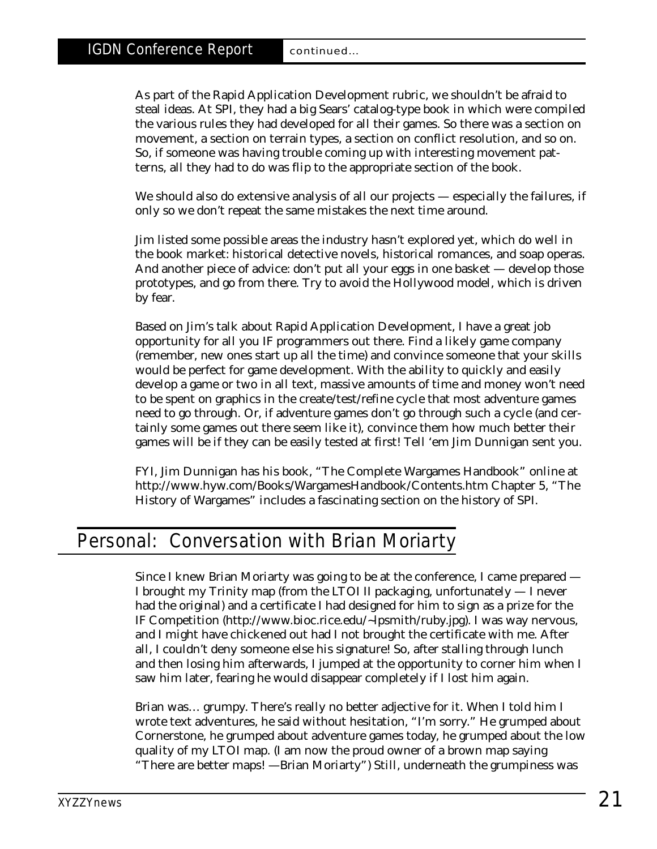As part of the Rapid Application Development rubric, we shouldn't be afraid to steal ideas. At SPI, they had a big Sears' catalog-type book in which were compiled the various rules they had developed for all their games. So there was a section on movement, a section on terrain types, a section on conflict resolution, and so on. So, if someone was having trouble coming up with interesting movement patterns, all they had to do was flip to the appropriate section of the book.

We should also do extensive analysis of all our projects — especially the failures, if only so we don't repeat the same mistakes the next time around.

Jim listed some possible areas the industry hasn't explored yet, which do well in the book market: historical detective novels, historical romances, and soap operas. And another piece of advice: don't put all your eggs in one basket — develop those prototypes, and go from there. Try to avoid the Hollywood model, which is driven by fear.

Based on Jim's talk about Rapid Application Development, I have a great job opportunity for all you IF programmers out there. Find a likely game company (remember, new ones start up all the time) and convince someone that your skills would be perfect for game development. With the ability to quickly and easily develop a game or two in all text, massive amounts of time and money won't need to be spent on graphics in the create/test/refine cycle that most adventure games need to go through. Or, if adventure games *don't* go through such a cycle (and certainly some games out there seem like it), convince them how much better their games will be if they can be easily tested at first! Tell 'em Jim Dunnigan sent you.

FYI, Jim Dunnigan has his book, "The Complete Wargames Handbook" online at http://www.hyw.com/Books/WargamesHandbook/Contents.htm Chapter 5, "The History of Wargames" includes a fascinating section on the history of SPI.

# Personal: Conversation with Brian Moriarty

Since I knew Brian Moriarty was going to be at the conference, I came prepared — I brought my Trinity map (from the LTOI II packaging, unfortunately — I never had the original) and a certificate I had designed for him to sign as a prize for the IF Competition (http://www.bioc.rice.edu/~lpsmith/ruby.jpg). I was way nervous, and I might have chickened out had I not brought the certificate with me. After all, I couldn't deny someone *else* his signature! So, after stalling through lunch and then losing him afterwards, I jumped at the opportunity to corner him when I saw him later, fearing he would disappear completely if I lost him again.

Brian was… grumpy. There's really no better adjective for it. When I told him I wrote text adventures, he said without hesitation, "I'm sorry." He grumped about Cornerstone, he grumped about adventure games today, he grumped about the low quality of my LTOI map. (I am now the proud owner of a brown map saying "There are better maps! —Brian Moriarty") Still, underneath the grumpiness was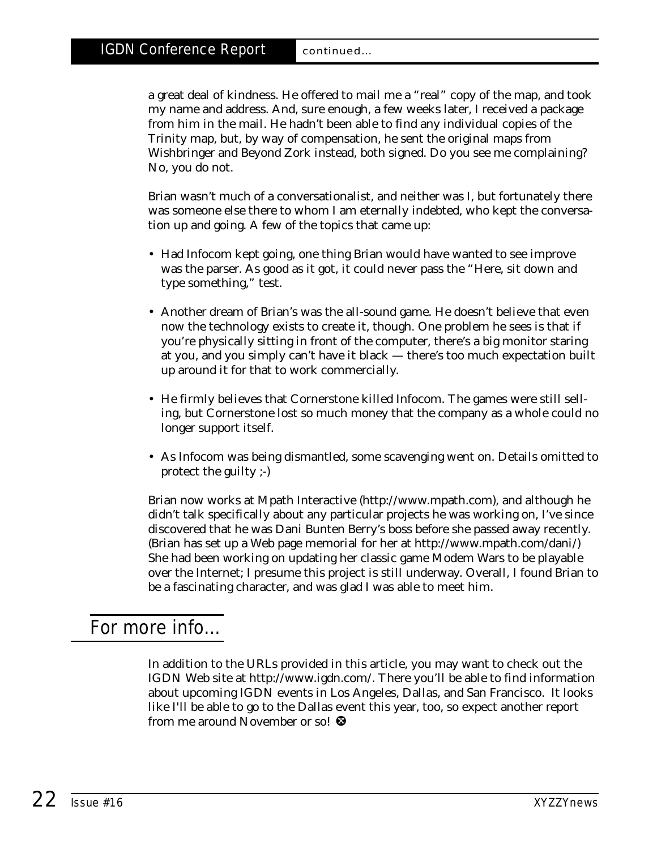a great deal of kindness. He offered to mail me a "real" copy of the map, and took my name and address. And, sure enough, a few weeks later, I received a package from him in the mail. He hadn't been able to find any individual copies of the Trinity map, but, by way of compensation, he sent the original maps from Wishbringer and Beyond Zork instead, both signed. Do you see me complaining? No, you do not.

Brian wasn't much of a conversationalist, and neither was I, but fortunately there was someone else there to whom I am eternally indebted, who kept the conversation up and going. A few of the topics that came up:

- Had Infocom kept going, one thing Brian would have wanted to see improve was the parser. As good as it got, it could never pass the "Here, sit down and type something," test.
- Another dream of Brian's was the all-sound game. He doesn't believe that even now the technology exists to create it, though. One problem he sees is that if you're physically sitting in front of the computer, there's a big monitor staring at you, and you simply can't have it black — there's too much expectation built up around it for that to work commercially.
- He firmly believes that Cornerstone killed Infocom. The games were still selling, but Cornerstone lost so much money that the company as a whole could no longer support itself.
- As Infocom was being dismantled, some scavenging went on. Details omitted to protect the guilty ;-)

Brian now works at Mpath Interactive (http://www.mpath.com), and although he didn't talk specifically about any particular projects he was working on, I've since discovered that he was Dani Bunten Berry's boss before she passed away recently. (Brian has set up a Web page memorial for her at http://www.mpath.com/dani/) She had been working on updating her classic game Modem Wars to be playable over the Internet; I presume this project is still underway. Overall, I found Brian to be a fascinating character, and was glad I was able to meet him.

## For more info…

In addition to the URLs provided in this article, you may want to check out the IGDN Web site at http://www.igdn.com/. There you'll be able to find information about upcoming IGDN events in Los Angeles, Dallas, and San Francisco. It looks like I'll be able to go to the Dallas event this year, too, so expect another report from me around November or so!  $\mathbf \Omega$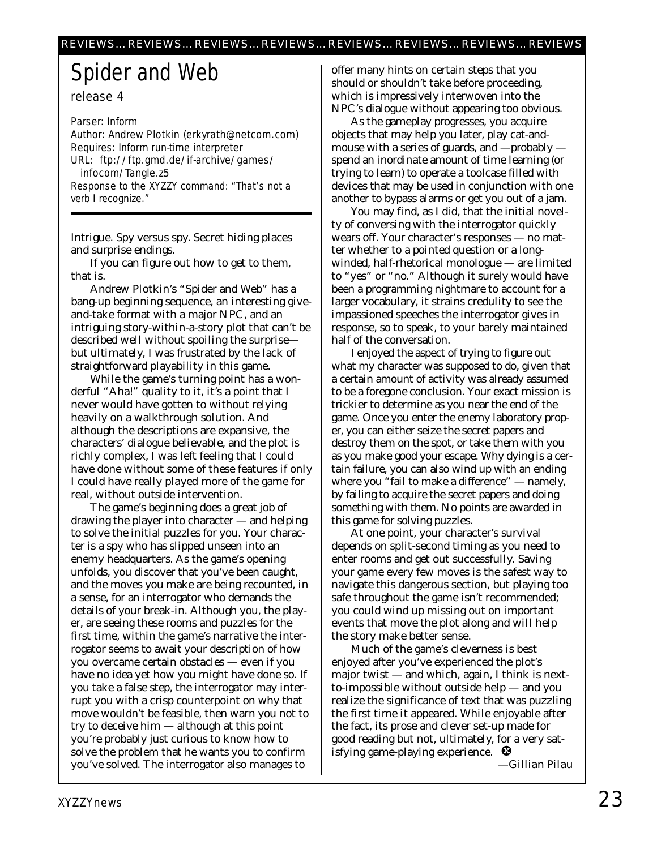# Spider and Web

release 4

Parser: Inform Author: Andrew Plotkin (erkyrath@netcom.com) Requires: Inform run-time interpreter URL: ftp://ftp.gmd.de/if-archive/games/ infocom/Tangle.z5 Response to the XYZZY command: "That's not a verb I recognize."

Intrigue. Spy versus spy. Secret hiding places and surprise endings.

If you can figure out how to get to them, that is.

Andrew Plotkin's "Spider and Web" has a bang-up beginning sequence, an interesting giveand-take format with a major NPC, and an intriguing story-within-a-story plot that can't be described well without spoiling the surprise but ultimately, I was frustrated by the lack of straightforward playability in this game.

While the game's turning point has a wonderful "Aha!" quality to it, it's a point that I never would have gotten to without relying heavily on a walkthrough solution. And although the descriptions are expansive, the characters' dialogue believable, and the plot is richly complex, I was left feeling that I could have done without some of these features if only I could have really *played* more of the game for real, without outside intervention.

The game's beginning does a great job of drawing the player into character — and helping to solve the initial puzzles for you. Your character is a spy who has slipped unseen into an enemy headquarters. As the game's opening unfolds, you discover that you've been caught, and the moves you make are being recounted, in a sense, for an interrogator who demands the details of your break-in. Although you, the player, are seeing these rooms and puzzles for the first time, within the game's narrative the interrogator seems to await your description of how you overcame certain obstacles — even if you have no idea yet how you might have done so. If you take a false step, the interrogator may interrupt you with a crisp counterpoint on why that move wouldn't be feasible, then warn you not to try to deceive him — although at this point you're probably just curious to know how to solve the problem that he wants you to confirm you've solved. The interrogator also manages to

offer many hints on certain steps that you should or shouldn't take before proceeding, which is impressively interwoven into the NPC's dialogue without appearing too obvious.

As the gameplay progresses, you acquire objects that may help you later, play cat-andmouse with a series of guards, and —probably spend an inordinate amount of time learning (or trying to learn) to operate a toolcase filled with devices that may be used in conjunction with one another to bypass alarms or get you out of a jam.

You may find, as I did, that the initial novelty of conversing with the interrogator quickly wears off. Your character's responses — no matter whether to a pointed question or a longwinded, half-rhetorical monologue — are limited to "yes" or "no." Although it surely would have been a programming nightmare to account for a larger vocabulary, it strains credulity to see the impassioned speeches the interrogator gives in response, so to speak, to your barely maintained half of the conversation.

I enjoyed the aspect of trying to figure out what my character was supposed to do, given that a certain amount of activity was already assumed to be a foregone conclusion. Your exact mission is trickier to determine as you near the end of the game. Once you enter the enemy laboratory proper, you can either seize the secret papers and destroy them on the spot, or take them with you as you make good your escape. Why dying is a certain failure, you can also wind up with an ending where you "fail to make a difference" — namely, by failing to acquire the secret papers and doing something with them. No points are awarded in this game for solving puzzles.

At one point, your character's survival depends on split-second timing as you need to enter rooms and get out successfully. Saving your game every few moves is the safest way to navigate this dangerous section, but playing too safe throughout the game isn't recommended; you could wind up missing out on important events that move the plot along and will help the story make better sense.

Much of the game's cleverness is best enjoyed after you've experienced the plot's major twist — and which, again, I think is nextto-impossible without outside help — and you realize the significance of text that was puzzling the first time it appeared. While enjoyable after the fact, its prose and clever set-up made for good reading but not, ultimately, for a very satisfying game-playing experience.  $\bullet$ 

*—Gillian Pilau*